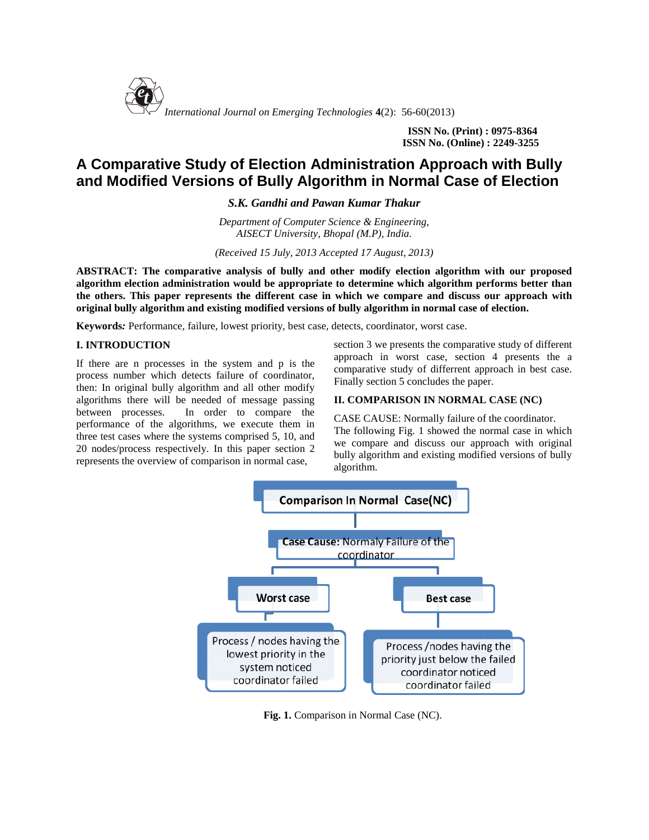

**ISSN No. (Print) : 0975-8364 ISSN No. (Online) : 2249-3255 (Online) :** 

# **A Comparative Study of Election Administration Approach with Bully** A Comparative Study of Election Administration Approach with Bully<br>and Modified Versions of Bully Algorithm in Normal Case of Election

*S.K. Gandhi and Pawan Kumar Thakur Kumar Thakur*

*Department of Computer Science & Engineering, AISECT University, Bhopal (M.P), India.*

*(Received 15 July, 2013 Accepted 17 August, 2013) AISECT University, Bhopal 2013)*

**ABSTRACT: The comparative analysis of bully and other modify election algorithm with our proposed comparative analysis and proposedalgorithm election administration would be appropriate to determine which algorithm performs better than** algorithm election administration would be appropriate to determine which algorithm performs better than<br>the others. This paper represents the different case in which we compare and discuss our approach with **original bully algorithm and existing modified versions of bully algorithm in normal case of election. existing normal** 

## **I. INTRODUCTION**

**Keywords:** Performance, failure, lowest priority, best case, detects, coordinator, worst case.<br> **I. INTRODUCTION**<br>
If there are n processes in the system and p is the<br>
process number which detects failure of coordinator,<br> If there are n processes in the system and p is the process number which detects failure of coordinator, then: In original bully algorithm and all other modify algorithms there will be needed of message passing between processes. In order to compare the performance of the algorithms, we execute them in  $\Gamma_{\text{Rn}}$ three test cases where the systems comprised 5, 10, and 20 nodes/process respectively. In this paper section 2 represents the overview of comparison in normal case, processes. In order to compare the<br>
cases of the algorithms, we execute them in CAS<br>
cases where the systems comprised 5, 10, and  $\frac{1}{100}$ 

section 3 we presents the comparative study of different approach in worst case, section 4 presents the a comparative study of differrent approach in best case. Finally section 5 concludes the paper.

## **II. COMPARISON IN NORMAL CASE (NC)**

message passing **II. COMPARISON IN NORMAL CASE (NC)**<br>
compare the CASE CAUSE: Normally failure of the coordinator.<br>
The fallowing Fig. 1 showed the gauged gaps in which The following Fig. 1 showed the normal case in which we compare and discuss our approach with original bully algorithm and existing modified versions of bully algorithm. section 3 we presents the comparative study of different<br>
approach in worst case, section 4 presents the a<br>
failure of coordinator,<br>
m and all other modify<br>
ed of message passing<br>
M. COMPARISON IN NORMAL CASE (NC)<br>
der to



**Fig. 1.** Comparison in Normal Case (NC).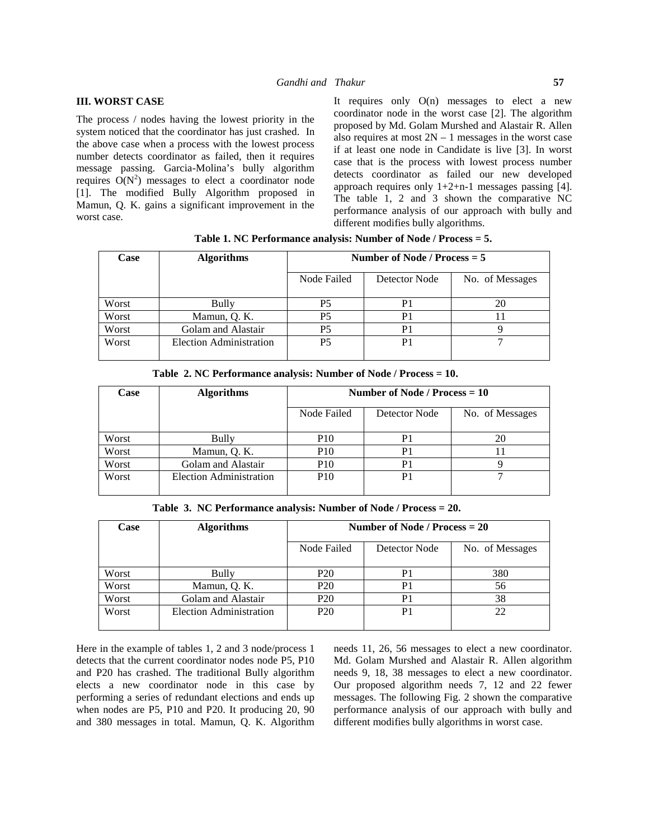#### **III. WORST CASE**

The process / nodes having the lowest priority in the system noticed that the coordinator has just crashed. In the above case when a process with the lowest process number detects coordinator as failed, then it requires message passing. Garcia-Molina's bully algorithm requires  $O(N^2)$  messages to elect a coordinator node [1]. The modified Bully Algorithm proposed in Mamun, Q. K. gains a significant improvement in the worst case.

It requires only  $O(n)$  messages to elect a new coordinator node in the worst case [2]. The algorithm proposed by Md. Golam Murshed and Alastair R. Allen also requires at most  $2N - 1$  messages in the worst case if at least one node in Candidate is live [3]. In worst case that is the process with lowest process number detects coordinator as failed our new developed approach requires only  $1+2+n-1$  messages passing [4]. The table 1, 2 and 3 shown the comparative NC performance analysis of our approach with bully and different modifies bully algorithms.

| Case  | <b>Algorithms</b>       | Number of Node / Process $= 5$ |               |                 |
|-------|-------------------------|--------------------------------|---------------|-----------------|
|       |                         | Node Failed                    | Detector Node | No. of Messages |
| Worst | Bully                   | P5                             |               | 20              |
| Worst | Mamun, Q. K.            | P5                             |               |                 |
| Worst | Golam and Alastair      | P5                             | P1            |                 |
| Worst | Election Administration | P <sub>5</sub>                 | P1            |                 |

**Table 1. NC Performance analysis: Number of Node / Process = 5.**

| Case  | <b>Algorithms</b>       | Number of Node / Process $= 10$ |               |                 |
|-------|-------------------------|---------------------------------|---------------|-----------------|
|       |                         | Node Failed                     | Detector Node | No. of Messages |
| Worst | Bully                   | <b>P10</b>                      | P1            | 20              |
| Worst | Mamun, Q. K.            | P <sub>10</sub>                 |               |                 |
| Worst | Golam and Alastair      | P <sub>10</sub>                 | P1            |                 |
| Worst | Election Administration | P <sub>10</sub>                 | P1            |                 |

**Table 2. NC Performance analysis: Number of Node / Process = 10.**

**Table 3. NC Performance analysis: Number of Node / Process = 20.**

| Case  | <b>Algorithms</b>              | Number of Node / Process $= 20$ |               |                 |
|-------|--------------------------------|---------------------------------|---------------|-----------------|
|       |                                | Node Failed                     | Detector Node | No. of Messages |
| Worst | Bully                          | P <sub>20</sub>                 | P1            | 380             |
| Worst | Mamun, Q. K.                   | P <sub>20</sub>                 | P1            | 56              |
| Worst | Golam and Alastair             | P <sub>20</sub>                 | P1            | 38              |
| Worst | <b>Election Administration</b> | P <sub>20</sub>                 | P1            | 22              |

Here in the example of tables 1, 2 and 3 node/process 1 detects that the current coordinator nodes node P5, P10 and P20 has crashed. The traditional Bully algorithm elects a new coordinator node in this case by performing a series of redundant elections and ends up when nodes are P5, P10 and P20. It producing 20, 90 and 380 messages in total. Mamun, Q. K. Algorithm needs 11, 26, 56 messages to elect a new coordinator. Md. Golam Murshed and Alastair R. Allen algorithm needs 9, 18, 38 messages to elect a new coordinator. Our proposed algorithm needs 7, 12 and 22 fewer messages. The following Fig. 2 shown the comparative performance analysis of our approach with bully and different modifies bully algorithms in worst case.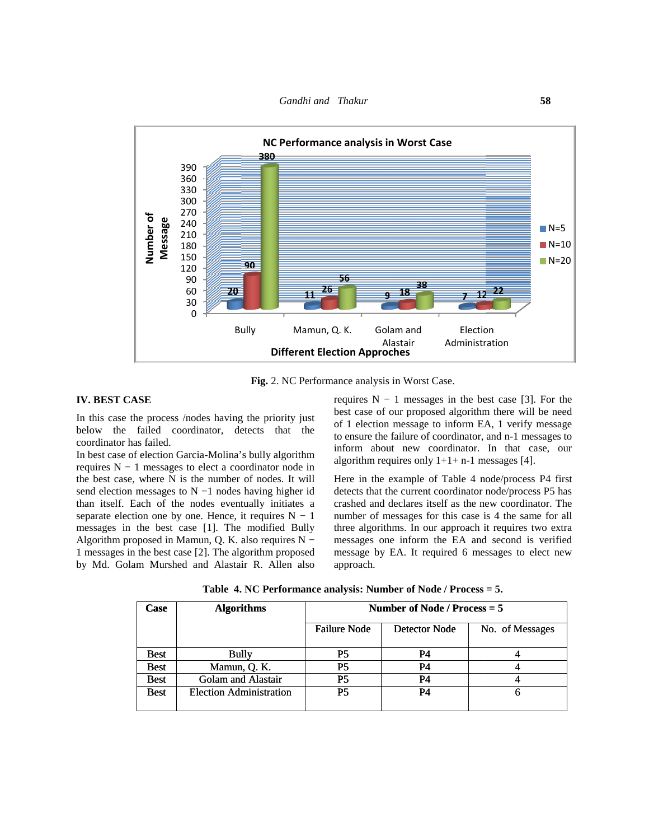

Fig. 2. NC Performance analysis in Worst Case.

#### **IV. BEST CASE**

In this case the process /nodes having the priority just In this case the process /nodes having the priority just<br>below the failed coordinator, detects that the coordinator has failed.

In best case of election Garcia-Molina's bully algorithm requires N − 1 messages to elect a coordinator node in requires  $N - 1$  messages to elect a coordinator node in<br>the best case, where N is the number of nodes. It will send election messages to N –1 nodes having higher id dete than itself. Each of the nodes eventually initiates a separate election one by one. Hence, it requires  $N - 1$ than itself. Each of the nodes eventually initiates a crast separate election one by one. Hence, it requires  $N - 1$  num messages in the best case [1]. The modified Bully three Algorithm proposed in Mamun, Q. K. also requires N − 1 messages in the best case [2]. The algorithm proposed by Md. Golam Murshed and Alastair R. Allen also

|  | Table 4. NC Performance analysis: Number of Node / Process = 5. |  |  |  |
|--|-----------------------------------------------------------------|--|--|--|
|--|-----------------------------------------------------------------|--|--|--|

|                   | <b>Bully</b>                                                                                                                                                                                                                                                                                                                                             | Mamun, Q. K.                        | Golam and                                       | Election                                                                                                                                                                                                                                                                                                                                                                                                    |
|-------------------|----------------------------------------------------------------------------------------------------------------------------------------------------------------------------------------------------------------------------------------------------------------------------------------------------------------------------------------------------------|-------------------------------------|-------------------------------------------------|-------------------------------------------------------------------------------------------------------------------------------------------------------------------------------------------------------------------------------------------------------------------------------------------------------------------------------------------------------------------------------------------------------------|
|                   |                                                                                                                                                                                                                                                                                                                                                          | <b>Different Election Approches</b> | Alastair                                        | Administration                                                                                                                                                                                                                                                                                                                                                                                              |
|                   |                                                                                                                                                                                                                                                                                                                                                          |                                     |                                                 |                                                                                                                                                                                                                                                                                                                                                                                                             |
|                   |                                                                                                                                                                                                                                                                                                                                                          |                                     | Fig. 2. NC Performance analysis in Worst Case.  |                                                                                                                                                                                                                                                                                                                                                                                                             |
| ιSΕ<br>as failed. | ne process /nodes having the priority just<br>failed coordinator, detects that the<br>f election Garcia-Molina's bully algorithm<br>1 messages to elect a coordinator node in                                                                                                                                                                            |                                     | algorithm requires only $1+1+n-1$ messages [4]. | requires $N - 1$ messages in the best case [3]. For the<br>best case of our proposed algorithm there will be need<br>of 1 election message to inform EA, 1 verify message<br>to ensure the failure of coordinator, and n-1 messages to<br>inform about new coordinator. In that case, our                                                                                                                   |
|                   | where N is the number of nodes. It will<br>messages to $N - 1$ nodes having higher id<br>ach of the nodes eventually initiates a<br>ion one by one. Hence, it requires $N - 1$<br>the best case [1]. The modified Bully<br>oposed in Mamun, Q. K. also requires N -<br>the best case [2]. The algorithm proposed<br>m Murshed and Alastair R. Allen also | approach.                           |                                                 | Here in the example of Table 4 node/process P4 first<br>detects that the current coordinator node/process P5 has<br>crashed and declares itself as the new coordinator. The<br>number of messages for this case is 4 the same for all<br>three algorithms. In our approach it requires two extra<br>messages one inform the EA and second is verified<br>message by EA. It required 6 messages to elect new |
|                   | Table 4. NC Performance analysis: Number of Node / Process = 5.                                                                                                                                                                                                                                                                                          |                                     |                                                 |                                                                                                                                                                                                                                                                                                                                                                                                             |
| Case              | <b>Algorithms</b>                                                                                                                                                                                                                                                                                                                                        |                                     | Number of Node / Process $= 5$                  |                                                                                                                                                                                                                                                                                                                                                                                                             |
|                   |                                                                                                                                                                                                                                                                                                                                                          | <b>Failure Node</b>                 | <b>Detector Node</b>                            | No. of Messages                                                                                                                                                                                                                                                                                                                                                                                             |
| <b>Best</b>       | <b>Bully</b>                                                                                                                                                                                                                                                                                                                                             | P <sub>5</sub>                      | <b>P4</b>                                       | 4                                                                                                                                                                                                                                                                                                                                                                                                           |
| <b>Best</b>       | Mamun, Q. K.                                                                                                                                                                                                                                                                                                                                             | P <sub>5</sub>                      | <b>P4</b>                                       | $\overline{4}$                                                                                                                                                                                                                                                                                                                                                                                              |
| <b>Best</b>       | Golam and Alastair                                                                                                                                                                                                                                                                                                                                       | P <sub>5</sub>                      | <b>P4</b>                                       | 4                                                                                                                                                                                                                                                                                                                                                                                                           |
| <b>Best</b>       | <b>Election Administration</b>                                                                                                                                                                                                                                                                                                                           | P <sub>5</sub>                      | <b>P4</b>                                       | 6                                                                                                                                                                                                                                                                                                                                                                                                           |
|                   |                                                                                                                                                                                                                                                                                                                                                          |                                     |                                                 |                                                                                                                                                                                                                                                                                                                                                                                                             |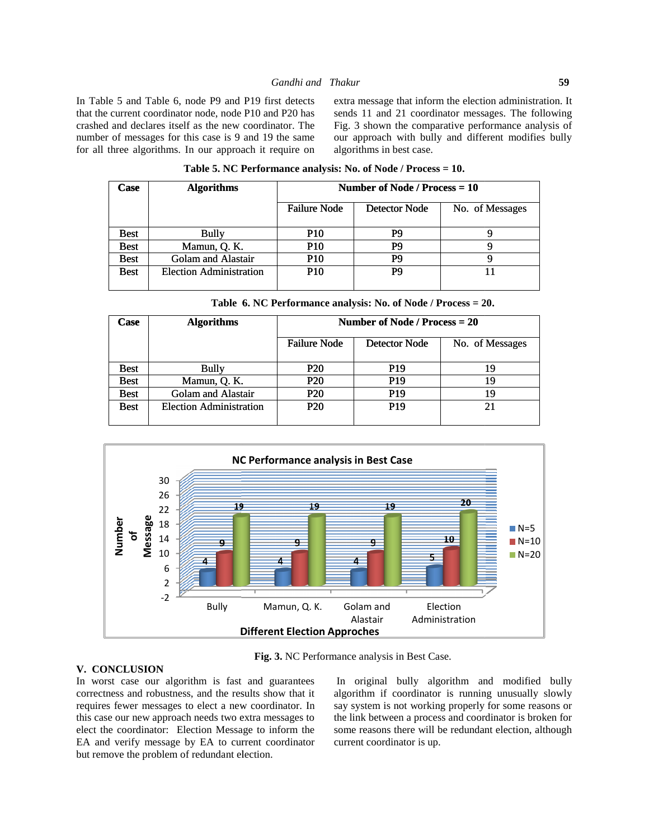In Table 5 and Table 6, node P9 and P19 first detects that the current coordinator node, node P10 and P20 has crashed and declares itself as the new coordinator. The number of messages for this case is 9 and 19 the same for all three algorithms. In our approach it require on

extra message that inform the election administration. It sends 11 and 21 coordinator messages. The following Fig. 3 shown the comparative performance analysis of our approach with bully and different modifies bully algorithms in best case. Exercise 5 and Table 6, node P9 and P19 first detects extra message that inform the election administration. It current coordinator node, node P10 and P20 has coordinator. The Fig. 3 shown the comparative performance analy the comparative performance analysis of<br>with bully and different modifies bully<br>best case.

| Table 5. NC Performance analysis: No. of Node / Process = 10. |                                |                                 |               |                 |  |
|---------------------------------------------------------------|--------------------------------|---------------------------------|---------------|-----------------|--|
| <b>Case</b>                                                   | <b>Algorithms</b>              | Number of Node / Process $= 10$ |               |                 |  |
|                                                               |                                | <b>Failure Node</b>             | Detector Node | No. of Messages |  |
| <b>Best</b>                                                   | Bully                          | <b>P10</b>                      | P9            |                 |  |
| <b>Best</b>                                                   | Mamun, Q. K.                   | <b>P10</b>                      | P9            | Q               |  |
| <b>Best</b>                                                   | Golam and Alastair             | <b>P10</b>                      | P9            | Q               |  |
| <b>Best</b>                                                   | <b>Election Administration</b> | <b>P10</b>                      | P9            |                 |  |

| Table 6. NC Performance analysis: No. of Node / Process = 20. |  |
|---------------------------------------------------------------|--|
|---------------------------------------------------------------|--|

| Table 6. NC Performance analysis: No. of Node / Process = 20. |                                |                                 |                 |                 |  |
|---------------------------------------------------------------|--------------------------------|---------------------------------|-----------------|-----------------|--|
| <b>Case</b>                                                   | <b>Algorithms</b>              | Number of Node / Process $= 20$ |                 |                 |  |
|                                                               |                                | <b>Failure Node</b>             | Detector Node   | No. of Messages |  |
| <b>Best</b>                                                   | Bully                          | P <sub>20</sub>                 | <b>P19</b>      | 19              |  |
| <b>Best</b>                                                   | Mamun, Q. K.                   | P <sub>20</sub>                 | P <sub>19</sub> | 19              |  |
| <b>Best</b>                                                   | Golam and Alastair             | <b>P20</b>                      | P <sub>19</sub> | 19              |  |
| <b>Best</b>                                                   | <b>Election Administration</b> | P <sub>20</sub>                 | <b>P19</b>      | 21              |  |



**Fig. 3.** NC Performance analysis in Best Case.

### **V. CONCLUSION CONCLUSION**

In worst case our algorithm is fast and guarantees correctness and robustness, and the results show that it requires fewer messages to elect a new coordinator. In this case our new approach needs two extra messages to elect the coordinator: Election Message to inform the EA and verify message by EA to current coordinator but remove the problem of redundant election.

In original bully algorithm and modified bully algorithm if coordinator is running unusually slowly say system is not working properly for some reasons or the link between a process and coordinator is broken for some reasons there will be redundant election, although current coordinator is up. case our algorithm is fast and guarantees In original bully algorithm and modified bully<br>ss and robustness, and the results show that it algorithm if coordinator is running unusually slowly<br>fewer messages to elect a new co Mamun, Q. K. Golam and Election<br>
Alastair Administration<br> **rent Election Approches**<br> **g. 3.** NC Performance analysis in Best Case.<br>
<br>
guarantees In original bully algorithm and modified bully<br>
show that it algorithm if coo